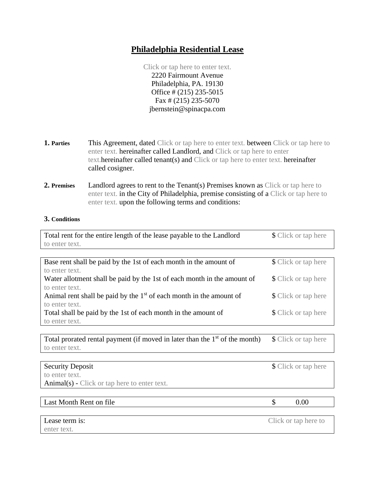# **Philadelphia Residential Lease**

Click or tap here to enter text. 2220 Fairmount Avenue Philadelphia, PA. 19130 Office # (215) 235-5015 Fax # (215) 235-5070 jbernstein@spinacpa.com

- **1. Parties** This Agreement, dated Click or tap here to enter text. between Click or tap here to enter text. hereinafter called Landlord, and Click or tap here to enter text.hereinafter called tenant(s) and Click or tap here to enter text. hereinafter called cosigner.
- **2. Premises** Landlord agrees to rent to the Tenant(s) Premises known as Click or tap here to enter text. in the City of Philadelphia, premise consisting of a Click or tap here to enter text. upon the following terms and conditions:

## **3. Conditions**

| Total rent for the entire length of the lease payable to the Landlord         |                      | \$ Click or tap here        |
|-------------------------------------------------------------------------------|----------------------|-----------------------------|
| to enter text.                                                                |                      |                             |
|                                                                               |                      |                             |
| Base rent shall be paid by the 1st of each month in the amount of             |                      | \$ Click or tap here        |
| to enter text.                                                                |                      |                             |
| Water allotment shall be paid by the 1st of each month in the amount of       |                      | <b>\$</b> Click or tap here |
| to enter text.                                                                |                      |                             |
| Animal rent shall be paid by the $1st$ of each month in the amount of         |                      | <b>\$</b> Click or tap here |
| to enter text.                                                                |                      |                             |
| Total shall be paid by the 1st of each month in the amount of                 |                      | \$ Click or tap here        |
| to enter text.                                                                |                      |                             |
|                                                                               |                      |                             |
| Total prorated rental payment (if moved in later than the $1st$ of the month) | \$ Click or tap here |                             |
| to enter text.                                                                |                      |                             |
|                                                                               |                      |                             |
| <b>Security Deposit</b>                                                       |                      | \$ Click or tap here        |
| to enter text.                                                                |                      |                             |
| $Animal(s)$ - Click or tap here to enter text.                                |                      |                             |
|                                                                               |                      |                             |
| Last Month Rent on file                                                       | \$                   | 0.00                        |

enter text.

Lease term is: Click or tap here to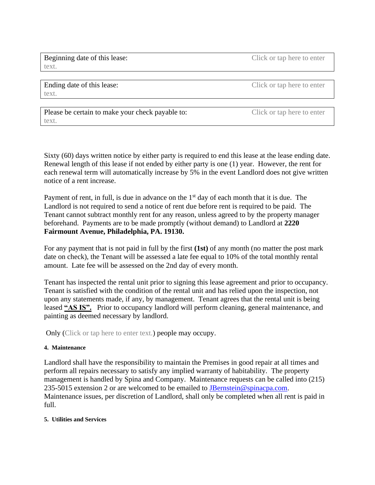Beginning date of this lease: Click or tap here to enter text.

Ending date of this lease: Click or tap here to enter text.

Please be certain to make your check payable to: Click or tap here to enter text.

Sixty (60) days written notice by either party is required to end this lease at the lease ending date. Renewal length of this lease if not ended by either party is one (1) year. However, the rent for each renewal term will automatically increase by 5% in the event Landlord does not give written notice of a rent increase.

Payment of rent, in full, is due in advance on the  $1<sup>st</sup>$  day of each month that it is due. The Landlord is not required to send a notice of rent due before rent is required to be paid. The Tenant cannot subtract monthly rent for any reason, unless agreed to by the property manager beforehand. Payments are to be made promptly (without demand) to Landlord at **2220 Fairmount Avenue, Philadelphia, PA. 19130.**

For any payment that is not paid in full by the first **(1st)** of any month (no matter the post mark date on check), the Tenant will be assessed a late fee equal to 10% of the total monthly rental amount. Late fee will be assessed on the 2nd day of every month.

Tenant has inspected the rental unit prior to signing this lease agreement and prior to occupancy. Tenant is satisfied with the condition of the rental unit and has relied upon the inspection, not upon any statements made, if any, by management. Tenant agrees that the rental unit is being leased **"AS IS".** Prior to occupancy landlord will perform cleaning, general maintenance, and painting as deemed necessary by landlord.

Only (Click or tap here to enter text.) people may occupy.

## **4. Maintenance**

Landlord shall have the responsibility to maintain the Premises in good repair at all times and perform all repairs necessary to satisfy any implied warranty of habitability. The property management is handled by Spina and Company. Maintenance requests can be called into (215) 235-5015 extension 2 or are welcomed to be emailed to [JBernstein@spinacpa.com.](mailto:JBernstein@spinacpa.com) Maintenance issues, per discretion of Landlord, shall only be completed when all rent is paid in full.

# **5. Utilities and Services**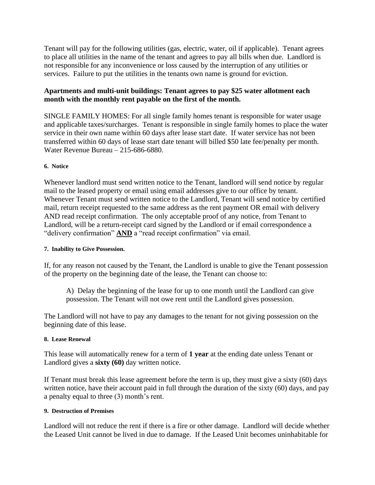Tenant will pay for the following utilities (gas, electric, water, oil if applicable). Tenant agrees to place all utilities in the name of the tenant and agrees to pay all bills when due. Landlord is not responsible for any inconvenience or loss caused by the interruption of any utilities or services. Failure to put the utilities in the tenants own name is ground for eviction.

## **Apartments and multi-unit buildings: Tenant agrees to pay \$25 water allotment each month with the monthly rent payable on the first of the month.**

SINGLE FAMILY HOMES: For all single family homes tenant is responsible for water usage and applicable taxes/surcharges. Tenant is responsible in single family homes to place the water service in their own name within 60 days after lease start date. If water service has not been transferred within 60 days of lease start date tenant will billed \$50 late fee/penalty per month. Water Revenue Bureau – 215-686-6880.

## **6. Notice**

Whenever landlord must send written notice to the Tenant, landlord will send notice by regular mail to the leased property or email using email addresses give to our office by tenant. Whenever Tenant must send written notice to the Landlord, Tenant will send notice by certified mail, return receipt requested to the same address as the rent payment OR email with delivery AND read receipt confirmation. The only acceptable proof of any notice, from Tenant to Landlord, will be a return-receipt card signed by the Landlord or if email correspondence a "delivery confirmation" **AND** a "read receipt confirmation" via email.

## **7. Inability to Give Possession.**

If, for any reason not caused by the Tenant, the Landlord is unable to give the Tenant possession of the property on the beginning date of the lease, the Tenant can choose to:

A) Delay the beginning of the lease for up to one month until the Landlord can give possession. The Tenant will not owe rent until the Landlord gives possession.

The Landlord will not have to pay any damages to the tenant for not giving possession on the beginning date of this lease.

## **8. Lease Renewal**

This lease will automatically renew for a term of **1 year** at the ending date unless Tenant or Landlord gives a **sixty (60)** day written notice.

If Tenant must break this lease agreement before the term is up, they must give a sixty (60) days written notice, have their account paid in full through the duration of the sixty (60) days, and pay a penalty equal to three (3) month's rent.

### **9. Destruction of Premises**

Landlord will not reduce the rent if there is a fire or other damage. Landlord will decide whether the Leased Unit cannot be lived in due to damage. If the Leased Unit becomes uninhabitable for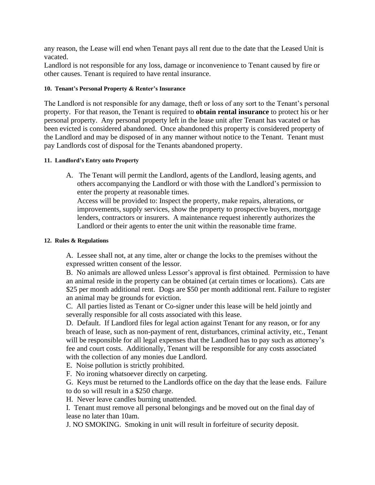any reason, the Lease will end when Tenant pays all rent due to the date that the Leased Unit is vacated.

Landlord is not responsible for any loss, damage or inconvenience to Tenant caused by fire or other causes. Tenant is required to have rental insurance.

## **10. Tenant's Personal Property & Renter's Insurance**

The Landlord is not responsible for any damage, theft or loss of any sort to the Tenant's personal property. For that reason, the Tenant is required to **obtain rental insurance** to protect his or her personal property. Any personal property left in the lease unit after Tenant has vacated or has been evicted is considered abandoned. Once abandoned this property is considered property of the Landlord and may be disposed of in any manner without notice to the Tenant. Tenant must pay Landlords cost of disposal for the Tenants abandoned property.

## **11. Landlord's Entry onto Property**

A. The Tenant will permit the Landlord, agents of the Landlord, leasing agents, and others accompanying the Landlord or with those with the Landlord's permission to enter the property at reasonable times.

Access will be provided to: Inspect the property, make repairs, alterations, or improvements, supply services, show the property to prospective buyers, mortgage lenders, contractors or insurers. A maintenance request inherently authorizes the Landlord or their agents to enter the unit within the reasonable time frame.

## **12. Rules & Regulations**

A. Lessee shall not, at any time, alter or change the locks to the premises without the expressed written consent of the lessor.

B. No animals are allowed unless Lessor's approval is first obtained. Permission to have an animal reside in the property can be obtained (at certain times or locations). Cats are \$25 per month additional rent. Dogs are \$50 per month additional rent. Failure to register an animal may be grounds for eviction.

C. All parties listed as Tenant or Co-signer under this lease will be held jointly and severally responsible for all costs associated with this lease.

D. Default. If Landlord files for legal action against Tenant for any reason, or for any breach of lease, such as non-payment of rent, disturbances, criminal activity, etc., Tenant will be responsible for all legal expenses that the Landlord has to pay such as attorney's fee and court costs. Additionally, Tenant will be responsible for any costs associated with the collection of any monies due Landlord.

E. Noise pollution is strictly prohibited.

F. No ironing whatsoever directly on carpeting.

G. Keys must be returned to the Landlords office on the day that the lease ends. Failure to do so will result in a \$250 charge.

H. Never leave candles burning unattended.

I. Tenant must remove all personal belongings and be moved out on the final day of lease no later than 10am.

J. NO SMOKING. Smoking in unit will result in forfeiture of security deposit.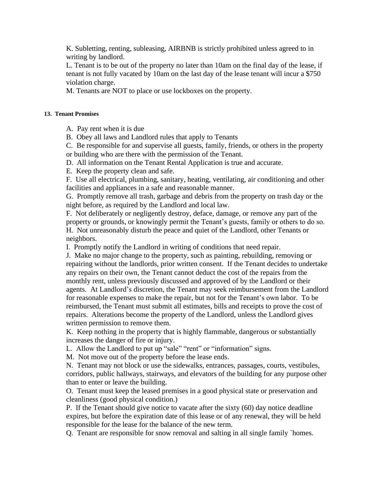K. Subletting, renting, subleasing, AIRBNB is strictly prohibited unless agreed to in writing by landlord.

L. Tenant is to be out of the property no later than 10am on the final day of the lease, if tenant is not fully vacated by 10am on the last day of the lease tenant will incur a \$750 violation charge.

M. Tenants are NOT to place or use lockboxes on the property.

## **13. Tenant Promises**

A. Pay rent when it is due

B. Obey all laws and Landlord rules that apply to Tenants

C. Be responsible for and supervise all guests, family, friends, or others in the property or building who are there with the permission of the Tenant.

D. All information on the Tenant Rental Application is true and accurate.

E. Keep the property clean and safe.

F. Use all electrical, plumbing, sanitary, heating, ventilating, air conditioning and other facilities and appliances in a safe and reasonable manner.

G. Promptly remove all trash, garbage and debris from the property on trash day or the night before, as required by the Landlord and local law.

F. Not deliberately or negligently destroy, deface, damage, or remove any part of the property or grounds, or knowingly permit the Tenant's guests, family or others to do so. H. Not unreasonably disturb the peace and quiet of the Landlord, other Tenants or neighbors.

I. Promptly notify the Landlord in writing of conditions that need repair.

J. Make no major change to the property, such as painting, rebuilding, removing or repairing without the landlords, prior written consent. If the Tenant decides to undertake any repairs on their own, the Tenant cannot deduct the cost of the repairs from the monthly rent, unless previously discussed and approved of by the Landlord or their agents. At Landlord's discretion, the Tenant may seek reimbursement from the Landlord for reasonable expenses to make the repair, but not for the Tenant's own labor. To be reimbursed, the Tenant must submit all estimates, bills and receipts to prove the cost of repairs. Alterations become the property of the Landlord, unless the Landlord gives written permission to remove them.

K. Keep nothing in the property that is highly flammable, dangerous or substantially increases the danger of fire or injury.

L. Allow the Landlord to put up "sale" "rent" or "information" signs.

M. Not move out of the property before the lease ends.

N. Tenant may not block or use the sidewalks, entrances, passages, courts, vestibules, corridors, public hallways, stairways, and elevators of the building for any purpose other than to enter or leave the building.

O. Tenant must keep the leased premises in a good physical state or preservation and cleanliness (good physical condition.)

P. If the Tenant should give notice to vacate after the sixty (60) day notice deadline expires, but before the expiration date of this lease or of any renewal, they will be held responsible for the lease for the balance of the new term.

Q. Tenant are responsible for snow removal and salting in all single family `homes.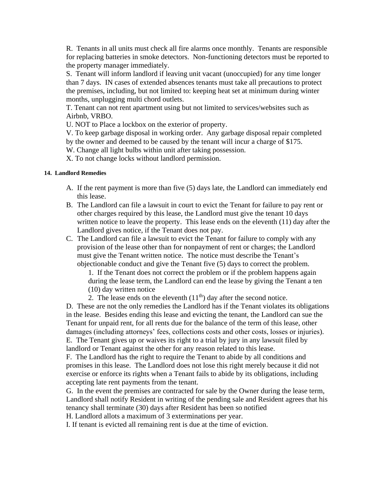R. Tenants in all units must check all fire alarms once monthly. Tenants are responsible for replacing batteries in smoke detectors. Non-functioning detectors must be reported to the property manager immediately.

S. Tenant will inform landlord if leaving unit vacant (unoccupied) for any time longer than 7 days. IN cases of extended absences tenants must take all precautions to protect the premises, including, but not limited to: keeping heat set at minimum during winter months, unplugging multi chord outlets.

T. Tenant can not rent apartment using but not limited to services/websites such as Airbnb, VRBO.

U. NOT to Place a lockbox on the exterior of property.

V. To keep garbage disposal in working order. Any garbage disposal repair completed by the owner and deemed to be caused by the tenant will incur a charge of \$175.

W. Change all light bulbs within unit after taking possession.

X. To not change locks without landlord permission.

## **14. Landlord Remedies**

- A. If the rent payment is more than five (5) days late, the Landlord can immediately end this lease.
- B. The Landlord can file a lawsuit in court to evict the Tenant for failure to pay rent or other charges required by this lease, the Landlord must give the tenant 10 days written notice to leave the property. This lease ends on the eleventh (11) day after the Landlord gives notice, if the Tenant does not pay.
- C. The Landlord can file a lawsuit to evict the Tenant for failure to comply with any provision of the lease other than for nonpayment of rent or charges; the Landlord must give the Tenant written notice. The notice must describe the Tenant's objectionable conduct and give the Tenant five (5) days to correct the problem.

1. If the Tenant does not correct the problem or if the problem happens again during the lease term, the Landlord can end the lease by giving the Tenant a ten (10) day written notice

2. The lease ends on the eleventh  $(11<sup>th</sup>)$  day after the second notice.

D. These are not the only remedies the Landlord has if the Tenant violates its obligations in the lease. Besides ending this lease and evicting the tenant, the Landlord can sue the Tenant for unpaid rent, for all rents due for the balance of the term of this lease, other damages (including attorneys' fees, collections costs and other costs, losses or injuries). E. The Tenant gives up or waives its right to a trial by jury in any lawsuit filed by landlord or Tenant against the other for any reason related to this lease.

F. The Landlord has the right to require the Tenant to abide by all conditions and promises in this lease. The Landlord does not lose this right merely because it did not exercise or enforce its rights when a Tenant fails to abide by its obligations, including accepting late rent payments from the tenant.

G. In the event the premises are contracted for sale by the Owner during the lease term, Landlord shall notify Resident in writing of the pending sale and Resident agrees that his tenancy shall terminate (30) days after Resident has been so notified

H. Landlord allots a maximum of 3 exterminations per year.

I. If tenant is evicted all remaining rent is due at the time of eviction.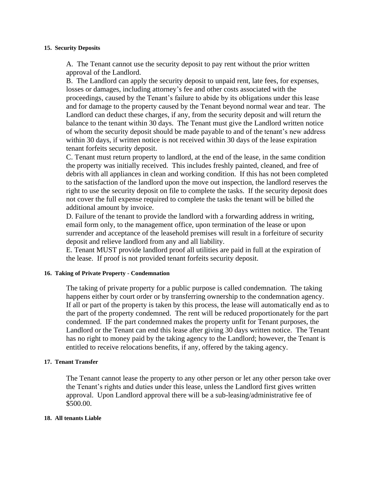#### **15. Security Deposits**

A. The Tenant cannot use the security deposit to pay rent without the prior written approval of the Landlord.

B. The Landlord can apply the security deposit to unpaid rent, late fees, for expenses, losses or damages, including attorney's fee and other costs associated with the proceedings, caused by the Tenant's failure to abide by its obligations under this lease and for damage to the property caused by the Tenant beyond normal wear and tear. The Landlord can deduct these charges, if any, from the security deposit and will return the balance to the tenant within 30 days. The Tenant must give the Landlord written notice of whom the security deposit should be made payable to and of the tenant's new address within 30 days, if written notice is not received within 30 days of the lease expiration tenant forfeits security deposit.

C. Tenant must return property to landlord, at the end of the lease, in the same condition the property was initially received. This includes freshly painted, cleaned, and free of debris with all appliances in clean and working condition. If this has not been completed to the satisfaction of the landlord upon the move out inspection, the landlord reserves the right to use the security deposit on file to complete the tasks. If the security deposit does not cover the full expense required to complete the tasks the tenant will be billed the additional amount by invoice.

D. Failure of the tenant to provide the landlord with a forwarding address in writing, email form only, to the management office, upon termination of the lease or upon surrender and acceptance of the leasehold premises will result in a forfeiture of security deposit and relieve landlord from any and all liability.

E. Tenant MUST provide landlord proof all utilities are paid in full at the expiration of the lease. If proof is not provided tenant forfeits security deposit.

#### **16. Taking of Private Property - Condemnation**

The taking of private property for a public purpose is called condemnation. The taking happens either by court order or by transferring ownership to the condemnation agency. If all or part of the property is taken by this process, the lease will automatically end as to the part of the property condemned. The rent will be reduced proportionately for the part condemned. IF the part condemned makes the property unfit for Tenant purposes, the Landlord or the Tenant can end this lease after giving 30 days written notice. The Tenant has no right to money paid by the taking agency to the Landlord; however, the Tenant is entitled to receive relocations benefits, if any, offered by the taking agency.

#### **17. Tenant Transfer**

The Tenant cannot lease the property to any other person or let any other person take over the Tenant's rights and duties under this lease, unless the Landlord first gives written approval. Upon Landlord approval there will be a sub-leasing/administrative fee of \$500.00.

#### **18. All tenants Liable**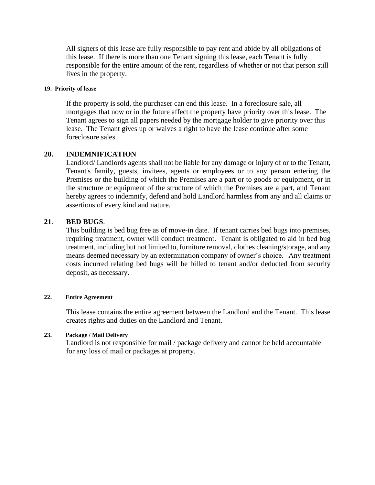All signers of this lease are fully responsible to pay rent and abide by all obligations of this lease. If there is more than one Tenant signing this lease, each Tenant is fully responsible for the entire amount of the rent, regardless of whether or not that person still lives in the property.

#### **19. Priority of lease**

If the property is sold, the purchaser can end this lease. In a foreclosure sale, all mortgages that now or in the future affect the property have priority over this lease. The Tenant agrees to sign all papers needed by the mortgage holder to give priority over this lease. The Tenant gives up or waives a right to have the lease continue after some foreclosure sales.

## **20. INDEMNIFICATION**

Landlord/Landlords agents shall not be liable for any damage or injury of or to the Tenant, Tenant's family, guests, invitees, agents or employees or to any person entering the Premises or the building of which the Premises are a part or to goods or equipment, or in the structure or equipment of the structure of which the Premises are a part, and Tenant hereby agrees to indemnify, defend and hold Landlord harmless from any and all claims or assertions of every kind and nature.

## **21**. **BED BUGS**.

This building is bed bug free as of move-in date. If tenant carries bed bugs into premises, requiring treatment, owner will conduct treatment. Tenant is obligated to aid in bed bug treatment, including but not limited to, furniture removal, clothes cleaning/storage, and any means deemed necessary by an extermination company of owner's choice. Any treatment costs incurred relating bed bugs will be billed to tenant and/or deducted from security deposit, as necessary.

### **22. Entire Agreement**

This lease contains the entire agreement between the Landlord and the Tenant. This lease creates rights and duties on the Landlord and Tenant.

### **23. Package / Mail Delivery**

Landlord is not responsible for mail / package delivery and cannot be held accountable for any loss of mail or packages at property.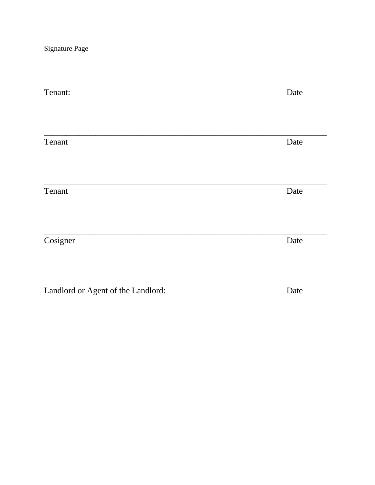Signature Page

| Tenant:                            | Date |
|------------------------------------|------|
|                                    |      |
| Tenant                             | Date |
|                                    |      |
| Tenant                             | Date |
|                                    |      |
| Cosigner                           | Date |
|                                    |      |
| Landlord or Agent of the Landlord: | Date |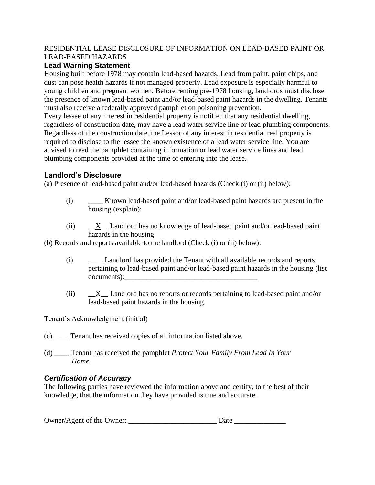## RESIDENTIAL LEASE DISCLOSURE OF INFORMATION ON LEAD-BASED PAINT OR LEAD-BASED HAZARDS

# **Lead Warning Statement**

Housing built before 1978 may contain lead-based hazards. Lead from paint, paint chips, and dust can pose health hazards if not managed properly. Lead exposure is especially harmful to young children and pregnant women. Before renting pre-1978 housing, landlords must disclose the presence of known lead-based paint and/or lead-based paint hazards in the dwelling. Tenants must also receive a federally approved pamphlet on poisoning prevention.

Every lessee of any interest in residential property is notified that any residential dwelling, regardless of construction date, may have a lead water service line or lead plumbing components. Regardless of the construction date, the Lessor of any interest in residential real property is required to disclose to the lessee the known existence of a lead water service line. You are advised to read the pamphlet containing information or lead water service lines and lead plumbing components provided at the time of entering into the lease.

# **Landlord's Disclosure**

(a) Presence of lead-based paint and/or lead-based hazards (Check (i) or (ii) below):

- (i) \_\_\_\_ Known lead-based paint and/or lead-based paint hazards are present in the housing (explain):
- (ii) \_\_X\_\_ Landlord has no knowledge of lead-based paint and/or lead-based paint hazards in the housing

(b) Records and reports available to the landlord (Check (i) or (ii) below):

- (i) \_\_\_\_ Landlord has provided the Tenant with all available records and reports pertaining to lead-based paint and/or lead-based paint hazards in the housing (list documents):
- (ii)  $X_{\text{A}}$  Landlord has no reports or records pertaining to lead-based paint and/or lead-based paint hazards in the housing.

Tenant's Acknowledgment (initial)

- (c) \_\_\_\_ Tenant has received copies of all information listed above.
- (d) \_\_\_\_ Tenant has received the pamphlet *Protect Your Family From Lead In Your Home*.

# *Certification of Accuracy*

The following parties have reviewed the information above and certify, to the best of their knowledge, that the information they have provided is true and accurate.

| Owner/Agent of the Owner: | - Date |  |
|---------------------------|--------|--|
|                           |        |  |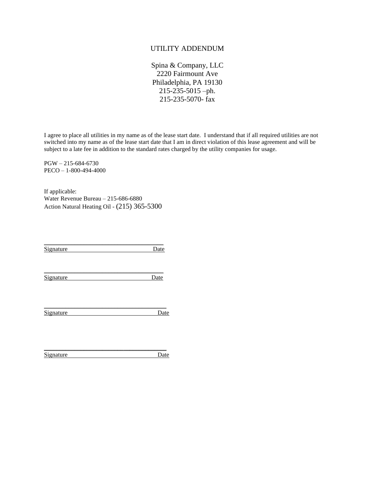## UTILITY ADDENDUM

Spina & Company, LLC 2220 Fairmount Ave Philadelphia, PA 19130 215-235-5015 –ph. 215-235-5070- fax

I agree to place all utilities in my name as of the lease start date. I understand that if all required utilities are not switched into my name as of the lease start date that I am in direct violation of this lease agreement and will be subject to a late fee in addition to the standard rates charged by the utility companies for usage.

PGW – 215-684-6730 PECO – 1-800-494-4000

If applicable: Water Revenue Bureau – 215-686-6880 Action Natural Heating Oil - (215) 365-5300

\_\_\_\_\_\_\_\_\_\_\_\_\_\_\_\_\_\_\_\_\_\_\_\_\_\_\_\_\_\_\_\_\_\_\_\_\_\_\_ Signature Date

\_\_\_\_\_\_\_\_\_\_\_\_\_\_\_\_\_\_\_\_\_\_\_\_\_\_\_\_\_\_\_\_\_\_\_\_\_\_\_ Signature Date

Signature Date

\_\_\_\_\_\_\_\_\_\_\_\_\_\_\_\_\_\_\_\_\_\_\_\_\_\_\_\_\_\_\_\_\_\_\_\_\_\_\_\_

\_\_\_\_\_\_\_\_\_\_\_\_\_\_\_\_\_\_\_\_\_\_\_\_\_\_\_\_\_\_\_\_\_\_\_\_\_\_\_\_ Signature Date